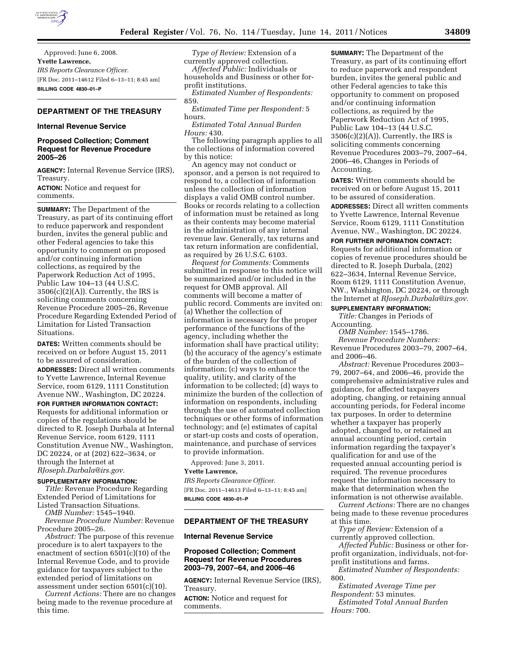

Approved: June 6, 2008. **Yvette Lawrence,**  *IRS Reports Clearance Officer.*  [FR Doc. 2011–14612 Filed 6–13–11; 8:45 am] **BILLING CODE 4830–01–P** 

## **DEPARTMENT OF THE TREASURY**

### **Internal Revenue Service**

## **Proposed Collection; Comment Request for Revenue Procedure 2005–26**

**AGENCY:** Internal Revenue Service (IRS), Treasury.

**ACTION:** Notice and request for comments.

**SUMMARY:** The Department of the Treasury, as part of its continuing effort to reduce paperwork and respondent burden, invites the general public and other Federal agencies to take this opportunity to comment on proposed and/or continuing information collections, as required by the Paperwork Reduction Act of 1995, Public Law 104–13 (44 U.S.C.  $3506(c)(2)(A)$ ). Currently, the IRS is soliciting comments concerning Revenue Procedure 2005–26, Revenue Procedure Regarding Extended Period of Limitation for Listed Transaction Situations.

**DATES:** Written comments should be received on or before August 15, 2011 to be assured of consideration. **ADDRESSES:** Direct all written comments to Yvette Lawrence, Internal Revenue Service, room 6129, 1111 Constitution Avenue NW., Washington, DC 20224.

**FOR FURTHER INFORMATION CONTACT:**  Requests for additional information or

copies of the regulations should be directed to R. Joseph Durbala at Internal Revenue Service, room 6129, 1111 Constitution Avenue NW., Washington, DC 20224, or at (202) 622–3634, or through the Internet at *[RJoseph.Durbala@irs.gov.](mailto:RJoseph.Durbala@irs.gov)* 

#### **SUPPLEMENTARY INFORMATION:**

*Title:* Revenue Procedure Regarding Extended Period of Limitations for Listed Transaction Situations.

*OMB Number:* 1545–1940.

*Revenue Procedure Number:* Revenue Procedure 2005–26.

*Abstract:* The purpose of this revenue procedure is to alert taxpayers to the enactment of section 6501(c)(10) of the Internal Revenue Code, and to provide guidance for taxpayers subject to the extended period of limitations on assessment under section 6501(c)(10).

*Current Actions:* There are no changes being made to the revenue procedure at this time.

*Type of Review:* Extension of a currently approved collection.

*Affected Public:* Individuals or households and Business or other forprofit institutions.

*Estimated Number of Respondents:*  859.

*Estimated Time per Respondent:* 5 hours.

*Estimated Total Annual Burden Hours:* 430.

The following paragraph applies to all the collections of information covered by this notice:

An agency may not conduct or sponsor, and a person is not required to respond to, a collection of information unless the collection of information displays a valid OMB control number. Books or records relating to a collection of information must be retained as long as their contents may become material in the administration of any internal revenue law. Generally, tax returns and tax return information are confidential, as required by 26 U.S.C. 6103.

*Request for Comments:* Comments submitted in response to this notice will be summarized and/or included in the request for OMB approval. All comments will become a matter of public record. Comments are invited on: (a) Whether the collection of information is necessary for the proper performance of the functions of the agency, including whether the information shall have practical utility; (b) the accuracy of the agency's estimate of the burden of the collection of information; (c) ways to enhance the quality, utility, and clarity of the information to be collected; (d) ways to minimize the burden of the collection of information on respondents, including through the use of automated collection techniques or other forms of information technology; and (e) estimates of capital or start-up costs and costs of operation, maintenance, and purchase of services to provide information.

Approved: June 3, 2011.

#### **Yvette Lawrence,**

*IRS Reports Clearance Officer.*  [FR Doc. 2011–14613 Filed 6–13–11; 8:45 am] **BILLING CODE 4830–01–P** 

### **DEPARTMENT OF THE TREASURY**

## **Internal Revenue Service**

## **Proposed Collection; Comment Request for Revenue Procedures 2003–79, 2007–64, and 2006–46**

**AGENCY:** Internal Revenue Service (IRS), Treasury.

**ACTION:** Notice and request for comments.

**SUMMARY:** The Department of the Treasury, as part of its continuing effort to reduce paperwork and respondent burden, invites the general public and other Federal agencies to take this opportunity to comment on proposed and/or continuing information collections, as required by the Paperwork Reduction Act of 1995, Public Law 104–13 (44 U.S.C.  $3506(c)(2)(A)$ ). Currently, the IRS is soliciting comments concerning Revenue Procedures 2003–79, 2007–64, 2006–46, Changes in Periods of Accounting.

**DATES:** Written comments should be received on or before August 15, 2011 to be assured of consideration.

**ADDRESSES:** Direct all written comments to Yvette Lawrence, Internal Revenue Service, Room 6129, 1111 Constitution Avenue, NW., Washington, DC 20224.

**FOR FURTHER INFORMATION CONTACT:** 

Requests for additional information or copies of revenue procedures should be directed to R. Joseph Durbala, (202) 622–3634, Internal Revenue Service, Room 6129, 1111 Constitution Avenue, NW., Washington, DC 20224, or through the Internet at *[RJoseph.Durbala@irs.gov.](mailto:RJoseph.Durbala@irs.gov)* 

# **SUPPLEMENTARY INFORMATION:**

*Title:* Changes in Periods of Accounting.

*OMB Number:* 1545–1786.

*Revenue Procedure Numbers:*  Revenue Procedures 2003–79, 2007–64, and 2006–46.

*Abstract:* Revenue Procedures 2003– 79, 2007–64, and 2006–46, provide the comprehensive administrative rules and guidance, for affected taxpayers adopting, changing, or retaining annual accounting periods, for Federal income tax purposes. In order to determine whether a taxpayer has properly adopted, changed to, or retained an annual accounting period, certain information regarding the taxpayer's qualification for and use of the requested annual accounting period is required. The revenue procedures request the information necessary to make that determination when the information is not otherwise available.

*Current Actions:* There are no changes being made to these revenue procedures at this time.

*Type of Review:* Extension of a currently approved collection.

*Affected Public:* Business or other forprofit organization, individuals, not-forprofit institutions and farms.

*Estimated Number of Respondents:*  800.

*Estimated Average Time per Respondent:* 53 minutes. *Estimated Total Annual Burden Hours:* 700.